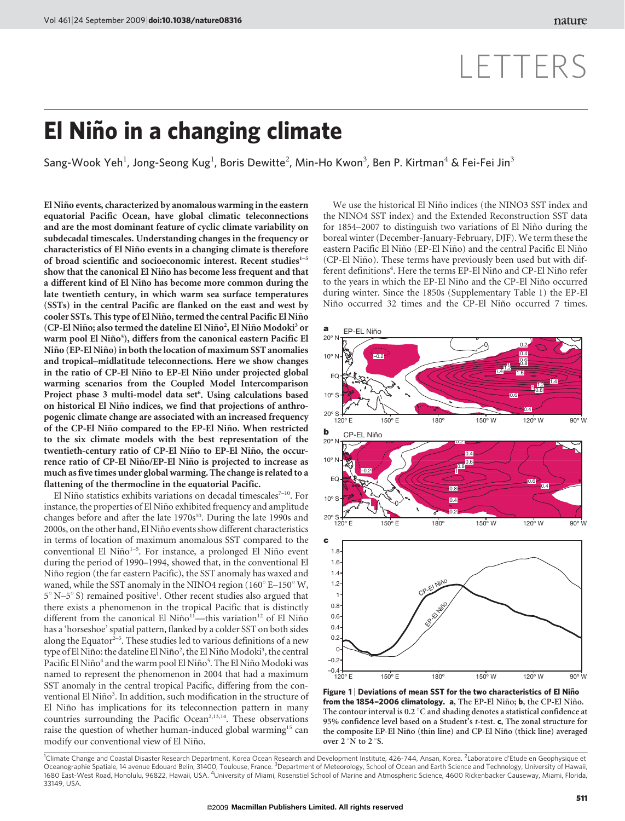# El Niño in a changing climate

Sang-Wook Yeh<sup>1</sup>, Jong-Seong Kug<sup>1</sup>, Boris Dewitte<sup>2</sup>, Min-Ho Kwon<sup>3</sup>, Ben P. Kirtman<sup>4</sup> & Fei-Fei Jin<sup>3</sup>

El Niño events, characterized by anomalous warming in the eastern equatorial Pacific Ocean, have global climatic teleconnections and are the most dominant feature of cyclic climate variability on subdecadal timescales. Understanding changes in the frequency or characteristics of El Niño events in a changing climate is therefore of broad scientific and socioeconomic interest. Recent studies<sup>1-5</sup> show that the canonical El Niño has become less frequent and that a different kind of El Niño has become more common during the late twentieth century, in which warm sea surface temperatures (SSTs) in the central Pacific are flanked on the east and west by cooler SSTs. This type of El Niño, termed the central Pacific El Niño (CP-El Niño; also termed the dateline El Niño<sup>2</sup>, El Niño Modoki<sup>3</sup> or warm pool El Niño<sup>5</sup>), differs from the canonical eastern Pacific El Niño (EP-El Niño) in both the location of maximum SST anomalies and tropical–midlatitude teleconnections. Here we show changes in the ratio of CP-El Niño to EP-El Niño under projected global warming scenarios from the Coupled Model Intercomparison Project phase 3 multi-model data set<sup>6</sup>. Using calculations based on historical El Niño indices, we find that projections of anthropogenic climate change are associated with an increased frequency of the CP-El Niño compared to the EP-El Niño. When restricted to the six climate models with the best representation of the twentieth-century ratio of CP-El Niño to EP-El Niño, the occurrence ratio of CP-El Niño/EP-El Niño is projected to increase as much as five times under global warming. The change is related to a flattening of the thermocline in the equatorial Pacific.

El Niño statistics exhibits variations on decadal timescales<sup>7-10</sup>. For instance, the properties of El Niño exhibited frequency and amplitude changes before and after the late 1970s<sup>10</sup>. During the late 1990s and 2000s, on the other hand, El Niño events show different characteristics in terms of location of maximum anomalous SST compared to the conventional El Niño<sup>1–5</sup>. For instance, a prolonged El Niño event during the period of 1990–1994, showed that, in the conventional El Niño region (the far eastern Pacific), the SST anomaly has waxed and waned, while the SST anomaly in the NINO4 region  $(160^{\circ} \text{E} - 150^{\circ} \text{W})$ , 5° N–5° S) remained positive<sup>1</sup>. Other recent studies also argued that there exists a phenomenon in the tropical Pacific that is distinctly different from the canonical El Niño<sup>11</sup>—this variation<sup>12</sup> of El Niño has a 'horseshoe' spatial pattern, flanked by a colder SST on both sides along the Equator<sup>2-5</sup>. These studies led to various definitions of a new type of El Niño: the dateline El Niño<sup>2</sup>, the El Niño Modoki<sup>3</sup>, the central Pacific El Niño<sup>4</sup> and the warm pool El Niño<sup>5</sup>. The El Niño Modoki was named to represent the phenomenon in 2004 that had a maximum SST anomaly in the central tropical Pacific, differing from the conventional El Niño<sup>3</sup>. In addition, such modification in the structure of El Niño has implications for its teleconnection pattern in many countries surrounding the Pacific Ocean<sup>2,13,14</sup>. These observations raise the question of whether human-induced global warming<sup>15</sup> can modify our conventional view of El Niño.

We use the historical El Niño indices (the NINO3 SST index and the NINO4 SST index) and the Extended Reconstruction SST data for 1854–2007 to distinguish two variations of El Niño during the boreal winter (December-January-February, DJF). We term these the eastern Pacific El Niño (EP-El Niño) and the central Pacific El Niño (CP-El Niño). These terms have previously been used but with different definitions<sup>4</sup>. Here the terms EP-El Niño and CP-El Niño refer to the years in which the EP-El Niño and the CP-El Niño occurred during winter. Since the 1850s (Supplementary Table 1) the EP-El Niño occurred 32 times and the CP-El Niño occurred 7 times.



Figure 1 | Deviations of mean SST for the two characteristics of El Niño from the 1854-2006 climatology. a, The EP-El Niño; b, the CP-El Niño. The contour interval is 0.2  $\degree$ C and shading denotes a statistical confidence at 95% confidence level based on a Student's t-test. c, The zonal structure for the composite EP-El Niño (thin line) and CP-El Niño (thick line) averaged over  $2°N$  to  $2°S$ .

<sup>1</sup>Climate Change and Coastal Disaster Research Department, Korea Ocean Research and Development Institute, 426-744, Ansan, Korea. <sup>2</sup>Laboratoire d'Etude en Geophysique et Oceanographie Spatiale, 14 avenue Edouard Belin, 31400, Toulouse, France. <sup>3</sup>Department of Meteorology, School of Ocean and Earth Science and Technology, University of Hawaii, 1680 East-West Road, Honolulu, 96822, Hawaii, USA. <sup>4</sup>University of Miami, Rosenstiel School of Marine and Atmospheric Science, 4600 Rickenbacker Causeway, Miami, Florida, 33149, USA.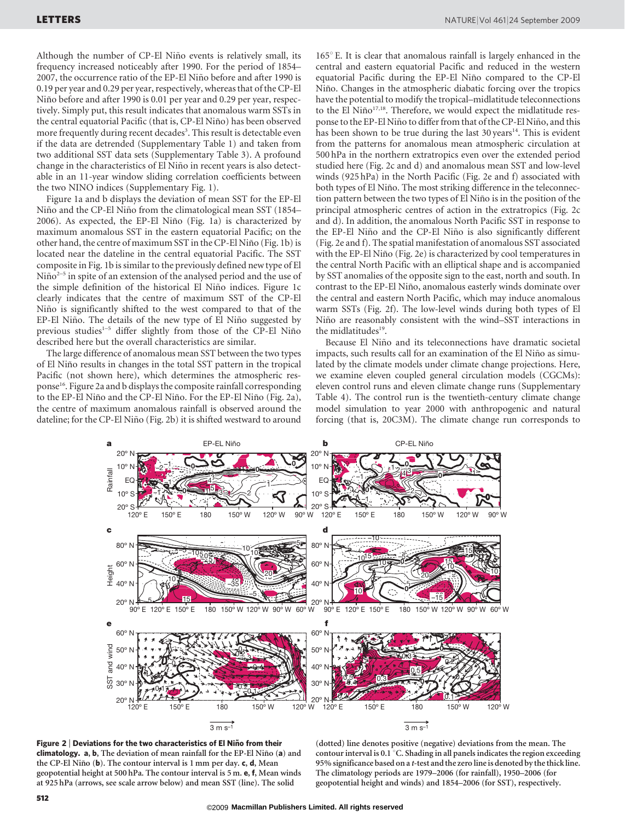Although the number of CP-El Niño events is relatively small, its frequency increased noticeably after 1990. For the period of 1854– 2007, the occurrence ratio of the EP-El Niño before and after 1990 is 0.19 per year and 0.29 per year, respectively, whereas that of the CP-El Niño before and after 1990 is 0.01 per year and 0.29 per year, respectively. Simply put, this result indicates that anomalous warm SSTs in the central equatorial Pacific (that is, CP-El Niño) has been observed more frequently during recent decades<sup>3</sup>. This result is detectable even if the data are detrended (Supplementary Table 1) and taken from two additional SST data sets (Supplementary Table 3). A profound change in the characteristics of El Niño in recent years is also detectable in an 11-year window sliding correlation coefficients between the two NINO indices (Supplementary Fig. 1).

Figure 1a and b displays the deviation of mean SST for the EP-El Niño and the CP-El Niño from the climatological mean SST (1854– 2006). As expected, the EP-El Niño (Fig. 1a) is characterized by maximum anomalous SST in the eastern equatorial Pacific; on the other hand, the centre of maximum SST in the CP-El Niño (Fig. 1b) is located near the dateline in the central equatorial Pacific. The SST composite in Fig. 1b is similar to the previously defined new type of El  $Ni\tilde{p}^{2-5}$  in spite of an extension of the analysed period and the use of the simple definition of the historical El Niño indices. Figure 1c clearly indicates that the centre of maximum SST of the CP-El Niño is significantly shifted to the west compared to that of the EP-El Niño. The details of the new type of El Niño suggested by previous studies<sup>1–5</sup> differ slightly from those of the CP-El Niño described here but the overall characteristics are similar.

The large difference of anomalous mean SST between the two types of El Nin˜o results in changes in the total SST pattern in the tropical Pacific (not shown here), which determines the atmospheric response16. Figure 2a and b displays the composite rainfall corresponding to the EP-El Niño and the CP-El Niño. For the EP-El Niño (Fig. 2a), the centre of maximum anomalous rainfall is observed around the dateline; for the CP-El Niño (Fig. 2b) it is shifted westward to around  $165^\circ$  E. It is clear that anomalous rainfall is largely enhanced in the central and eastern equatorial Pacific and reduced in the western equatorial Pacific during the EP-El Niño compared to the CP-El Niño. Changes in the atmospheric diabatic forcing over the tropics have the potential to modify the tropical–midlatitude teleconnections to the El Niño<sup>17,18</sup>. Therefore, we would expect the midlatitude response to the EP-El Niño to differ from that of the CP-El Niño, and this has been shown to be true during the last  $30 \text{ years}^{14}$ . This is evident from the patterns for anomalous mean atmospheric circulation at 500 hPa in the northern extratropics even over the extended period studied here (Fig. 2c and d) and anomalous mean SST and low-level winds (925 hPa) in the North Pacific (Fig. 2e and f) associated with both types of El Niño. The most striking difference in the teleconnection pattern between the two types of El Niño is in the position of the principal atmospheric centres of action in the extratropics (Fig. 2c and d). In addition, the anomalous North Pacific SST in response to the EP-El Niño and the CP-El Niño is also significantly different (Fig. 2e and f). The spatial manifestation of anomalous SST associated with the EP-El Niño (Fig. 2e) is characterized by cool temperatures in the central North Pacific with an elliptical shape and is accompanied by SST anomalies of the opposite sign to the east, north and south. In contrast to the EP-El Niño, anomalous easterly winds dominate over the central and eastern North Pacific, which may induce anomalous warm SSTs (Fig. 2f). The low-level winds during both types of El Niño are reasonably consistent with the wind–SST interactions in the midlatitudes<sup>19</sup>.

Because El Niño and its teleconnections have dramatic societal impacts, such results call for an examination of the El Niño as simulated by the climate models under climate change projections. Here, we examine eleven coupled general circulation models (CGCMs): eleven control runs and eleven climate change runs (Supplementary Table 4). The control run is the twentieth-century climate change model simulation to year 2000 with anthropogenic and natural forcing (that is, 20C3M). The climate change run corresponds to





(dotted) line denotes positive (negative) deviations from the mean. The contour interval is 0.1  $^{\circ}$  C. Shading in all panels indicates the region exceeding 95% significance based on a t-test and the zero line is denoted by the thick line. The climatology periods are 1979–2006 (for rainfall), 1950–2006 (for geopotential height and winds) and 1854–2006 (for SST), respectively.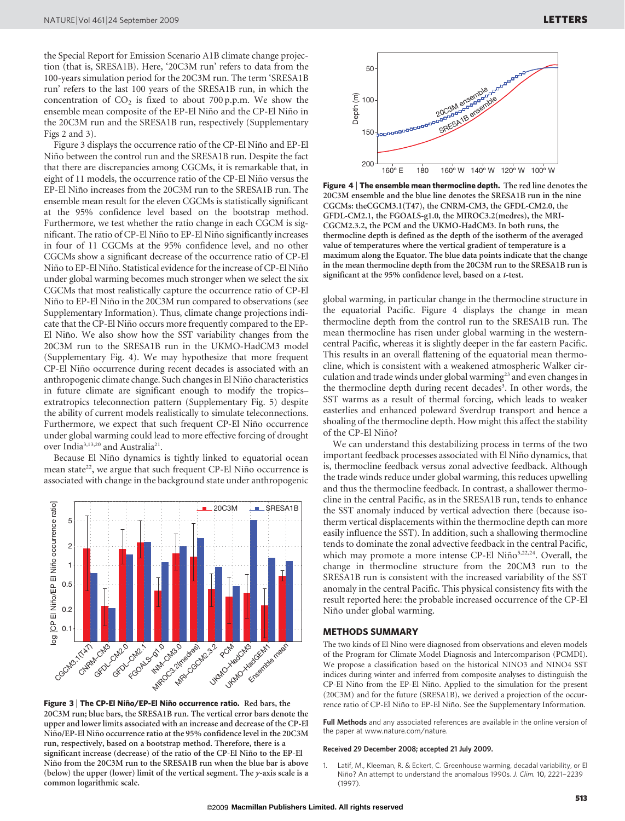the Special Report for Emission Scenario A1B climate change projection (that is, SRESA1B). Here, '20C3M run' refers to data from the 100-years simulation period for the 20C3M run. The term 'SRESA1B run' refers to the last 100 years of the SRESA1B run, in which the concentration of  $CO<sub>2</sub>$  is fixed to about 700 p.p.m. We show the ensemble mean composite of the EP-El Niño and the CP-El Niño in the 20C3M run and the SRESA1B run, respectively (Supplementary Figs 2 and 3).

Figure 3 displays the occurrence ratio of the CP-El Niño and EP-El Niño between the control run and the SRESA1B run. Despite the fact that there are discrepancies among CGCMs, it is remarkable that, in eight of 11 models, the occurrence ratio of the CP-El Niño versus the EP-El Niño increases from the 20C3M run to the SRESA1B run. The ensemble mean result for the eleven CGCMs is statistically significant at the 95% confidence level based on the bootstrap method. Furthermore, we test whether the ratio change in each CGCM is significant. The ratio of CP-El Niño to EP-El Niño significantly increases in four of 11 CGCMs at the 95% confidence level, and no other CGCMs show a significant decrease of the occurrence ratio of CP-El Niño to EP-El Niño. Statistical evidence for the increase of CP-El Niño under global warming becomes much stronger when we select the six CGCMs that most realistically capture the occurrence ratio of CP-El Niño to EP-El Niño in the 20C3M run compared to observations (see Supplementary Information). Thus, climate change projections indicate that the CP-El Niño occurs more frequently compared to the EP-El Niño. We also show how the SST variability changes from the 20C3M run to the SRESA1B run in the UKMO-HadCM3 model (Supplementary Fig. 4). We may hypothesize that more frequent CP-El Niño occurrence during recent decades is associated with an anthropogenic climate change. Such changes in El Niño characteristics in future climate are significant enough to modify the tropics– extratropics teleconnection pattern (Supplementary Fig. 5) despite the ability of current models realistically to simulate teleconnections. Furthermore, we expect that such frequent CP-El Niño occurrence under global warming could lead to more effective forcing of drought over India<sup>3,13,20</sup> and Australia<sup>21</sup>.

Because El Niño dynamics is tightly linked to equatorial ocean mean state<sup>22</sup>, we argue that such frequent CP-El Niño occurrence is associated with change in the background state under anthropogenic



Figure 3 | The CP-El Niño/EP-El Niño occurrence ratio. Red bars, the 20C3M run; blue bars, the SRESA1B run. The vertical error bars denote the upper and lower limits associated with an increase and decrease of the CP-El Niño/EP-El Niño occurrence ratio at the 95% confidence level in the 20C3M run, respectively, based on a bootstrap method. Therefore, there is a significant increase (decrease) of the ratio of the CP-El Niño to the EP-El Niño from the 20C3M run to the SRESA1B run when the blue bar is above (below) the upper (lower) limit of the vertical segment. The y-axis scale is a common logarithmic scale.



Figure 4 <sup>|</sup> The ensemble mean thermocline depth. The red line denotes the 20C3M ensemble and the blue line denotes the SRESA1B run in the nine CGCMs: theCGCM3.1(T47), the CNRM-CM3, the GFDL-CM2.0, the GFDL-CM2.1, the FGOALS-g1.0, the MIROC3.2(medres), the MRI-CGCM2.3.2, the PCM and the UKMO-HadCM3. In both runs, the thermocline depth is defined as the depth of the isotherm of the averaged value of temperatures where the vertical gradient of temperature is a maximum along the Equator. The blue data points indicate that the change in the mean thermocline depth from the 20C3M run to the SRESA1B run is significant at the 95% confidence level, based on a t-test.

global warming, in particular change in the thermocline structure in the equatorial Pacific. Figure 4 displays the change in mean thermocline depth from the control run to the SRESA1B run. The mean thermocline has risen under global warming in the westerncentral Pacific, whereas it is slightly deeper in the far eastern Pacific. This results in an overall flattening of the equatorial mean thermocline, which is consistent with a weakened atmospheric Walker circulation and trade winds under global warming<sup>23</sup> and even changes in the thermocline depth during recent decades<sup>3</sup>. In other words, the SST warms as a result of thermal forcing, which leads to weaker easterlies and enhanced poleward Sverdrup transport and hence a shoaling of the thermocline depth. How might this affect the stability of the CP-El Niño?

We can understand this destabilizing process in terms of the two important feedback processes associated with El Niño dynamics, that is, thermocline feedback versus zonal advective feedback. Although the trade winds reduce under global warming, this reduces upwelling and thus the thermocline feedback. In contrast, a shallower thermocline in the central Pacific, as in the SRESA1B run, tends to enhance the SST anomaly induced by vertical advection there (because isotherm vertical displacements within the thermocline depth can more easily influence the SST). In addition, such a shallowing thermocline tends to dominate the zonal advective feedback in the central Pacific, which may promote a more intense CP-El Niño<sup>5,22,24</sup>. Overall, the change in thermocline structure from the 20CM3 run to the SRESA1B run is consistent with the increased variability of the SST anomaly in the central Pacific. This physical consistency fits with the result reported here: the probable increased occurrence of the CP-El Niño under global warming.

#### METHODS SUMMARY

The two kinds of El Nino were diagnosed from observations and eleven models of the Program for Climate Model Diagnosis and Intercomparison (PCMDI). We propose a classification based on the historical NINO3 and NINO4 SST indices during winter and inferred from composite analyses to distinguish the CP-El Niño from the EP-El Niño. Applied to the simulation for the present (20C3M) and for the future (SRESA1B), we derived a projection of the occurrence ratio of CP-El Niño to EP-El Niño. See the Supplementary Information.

Full Methods and any associated references are available in the online version of the paper at<www.nature.com/nature>.

#### Received 29 December 2008; accepted 21 July 2009.

1. Latif, M., Kleeman, R. & Eckert, C. Greenhouse warming, decadal variability, or El Niño? An attempt to understand the anomalous 1990s. J. Clim. 10, 2221-2239 (1997).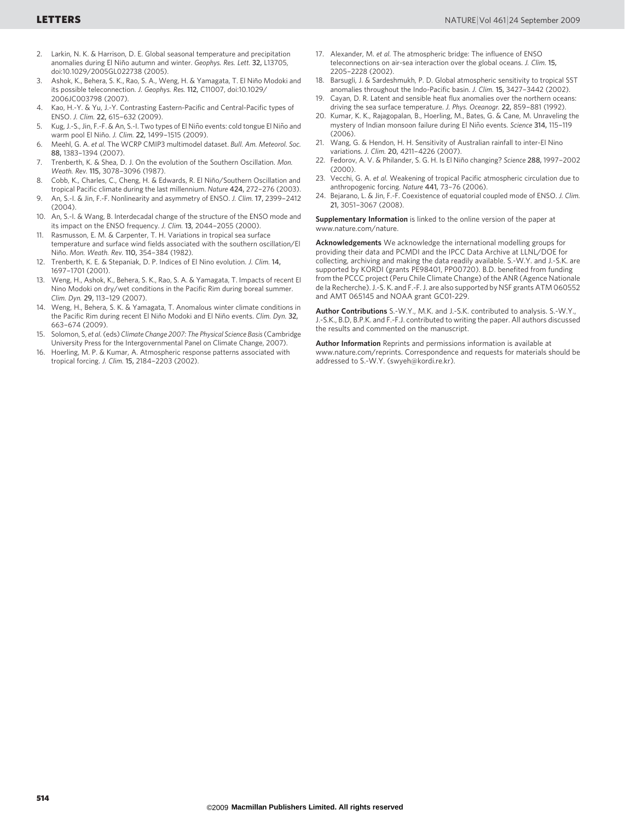- 2. Larkin, N. K. & Harrison, D. E. Global seasonal temperature and precipitation anomalies during El Niño autumn and winter. Geophys. Res. Lett. 32, L13705, doi:10.1029/2005GL022738 (2005).
- Ashok, K., Behera, S. K., Rao, S. A., Weng, H. & Yamagata, T. El Niño Modoki and its possible teleconnection. J. Geophys. Res. 112, C11007, doi:10.1029/ 2006JC003798 (2007).
- 4. Kao, H.-Y. & Yu, J.-Y. Contrasting Eastern-Pacific and Central-Pacific types of ENSO. J. Clim. 22, 615–632 (2009).
- 5. Kug, J.-S., Jin, F.-F. & An, S.-I. Two types of El Niño events: cold tongue El Niño and warm pool El Niño. J. Clim. 22, 1499–1515 (2009).
- 6. Meehl, G. A. et al. The WCRP CMIP3 multimodel dataset. Bull. Am. Meteorol. Soc. 88, 1383–1394 (2007).
- 7. Trenberth, K. & Shea, D. J. On the evolution of the Southern Oscillation. Mon. Weath. Rev. 115, 3078–3096 (1987).
- Cobb, K., Charles, C., Cheng, H. & Edwards, R. El Niño/Southern Oscillation and tropical Pacific climate during the last millennium. Nature 424, 272–276 (2003).
- 9. An, S.-I. & Jin, F.-F. Nonlinearity and asymmetry of ENSO. J. Clim. 17, 2399–2412 (2004).
- 10. An, S.-I. & Wang, B. Interdecadal change of the structure of the ENSO mode and its impact on the ENSO frequency. J. Clim. 13, 2044–2055 (2000).
- Rasmusson, E. M. & Carpenter, T. H. Variations in tropical sea surface temperature and surface wind fields associated with the southern oscillation/El Niño. Mon. Weath. Rev. 110, 354-384 (1982).
- 12. Trenberth, K. E. & Stepaniak, D. P. Indices of El Nino evolution. J. Clim. 14, 1697–1701 (2001).
- 13. Weng, H., Ashok, K., Behera, S. K., Rao, S. A. & Yamagata, T. Impacts of recent El Nino Modoki on dry/wet conditions in the Pacific Rim during boreal summer. Clim. Dyn. 29, 113–129 (2007).
- 14. Weng, H., Behera, S. K. & Yamagata, T. Anomalous winter climate conditions in the Pacific Rim during recent El Niño Modoki and El Niño events. Clim. Dyn. 32, 663–674 (2009).
- 15. Solomon, S, et al.(eds) Climate Change 2007: The Physical Science Basis(Cambridge University Press for the Intergovernmental Panel on Climate Change, 2007).
- 16. Hoerling, M. P. & Kumar, A. Atmospheric response patterns associated with tropical forcing. J. Clim. 15, 2184–2203 (2002).
- 17. Alexander, M. et al. The atmospheric bridge: The influence of ENSO teleconnections on air-sea interaction over the global oceans. J. Clim. 15, 2205–2228 (2002).
- 18. Barsugli, J. & Sardeshmukh, P. D. Global atmospheric sensitivity to tropical SST anomalies throughout the Indo-Pacific basin. J. Clim. 15, 3427–3442 (2002).
- Cayan, D. R. Latent and sensible heat flux anomalies over the northern oceans: driving the sea surface temperature. J. Phys. Oceanogr. 22, 859–881 (1992).
- 20. Kumar, K. K., Rajagopalan, B., Hoerling, M., Bates, G. & Cane, M. Unraveling the mystery of Indian monsoon failure during El Niño events. Science 314, 115-119 (2006).
- 21. Wang, G. & Hendon, H. H. Sensitivity of Australian rainfall to inter-El Nino variations. J. Clim. 20, 4211–4226 (2007).
- 22. Fedorov, A. V. & Philander, S. G. H. Is El Niño changing? Science 288, 1997-2002  $(2000)$
- 23. Vecchi, G. A. et al. Weakening of tropical Pacific atmospheric circulation due to anthropogenic forcing. Nature 441, 73–76 (2006).
- 24. Bejarano, L. & Jin, F.-F. Coexistence of equatorial coupled mode of ENSO. J. Clim. 21, 3051–3067 (2008).

Supplementary Information is linked to the online version of the paper at <www.nature.com/nature>.

Acknowledgements We acknowledge the international modelling groups for providing their data and PCMDI and the IPCC Data Archive at LLNL/DOE for collecting, archiving and making the data readily available. S.-W.Y. and J.-S.K. are supported by KORDI (grants PE98401, PP00720). B.D. benefited from funding from the PCCC project (Peru Chile Climate Change) of the ANR (Agence Nationale de la Recherche). J.-S. K. and F.-F. J. are also supported by NSF grants ATM 060552 and AMT 065145 and NOAA grant GC01-229.

Author Contributions S.-W.Y., M.K. and J.-S.K. contributed to analysis. S.-W.Y., J.-S.K., B.D, B.P.K. and F.-F.J. contributed to writing the paper. All authors discussed the results and commented on the manuscript.

Author Information Reprints and permissions information is available at <www.nature.com/reprints>. Correspondence and requests for materials should be addressed to S.-W.Y. [\(swyeh@kordi.re.kr\)](mailto:swyeh@kordi.re.kr).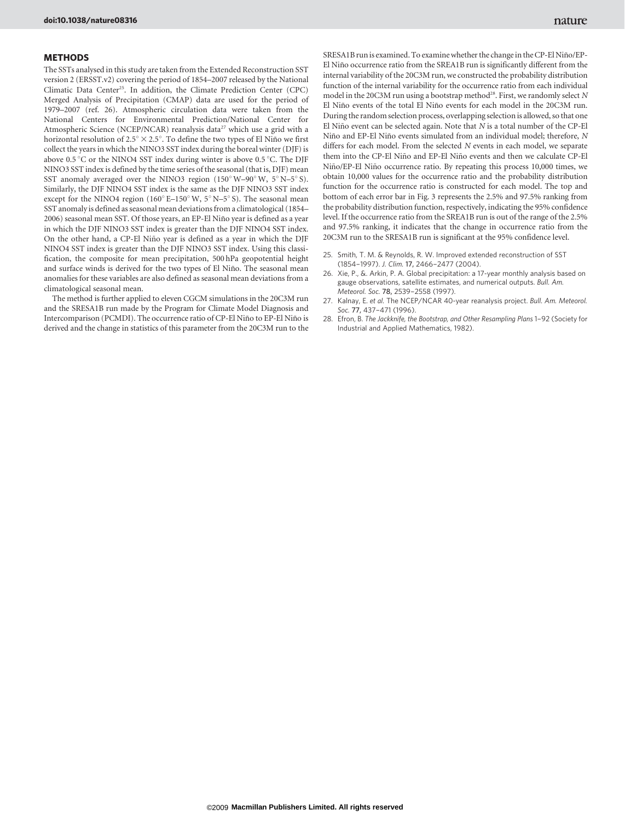#### **METHODS**

The SSTs analysed in this study are taken from the Extended Reconstruction SST version 2 (ERSST.v2) covering the period of 1854–2007 released by the National Climatic Data Center<sup>25</sup>. In addition, the Climate Prediction Center (CPC) Merged Analysis of Precipitation (CMAP) data are used for the period of 1979–2007 (ref. 26). Atmospheric circulation data were taken from the National Centers for Environmental Prediction/National Center for Atmospheric Science (NCEP/NCAR) reanalysis data<sup>27</sup> which use a grid with a horizontal resolution of  $2.5^{\circ} \times 2.5^{\circ}$ . To define the two types of El Niño we first collect the years in which the NINO3 SST index during the boreal winter (DJF) is above 0.5 °C or the NINO4 SST index during winter is above 0.5 °C. The DJF NINO3 SST index is defined by the time series of the seasonal (that is, DJF) mean SST anomaly averaged over the NINO3 region (150 $\degree$  W–90 $\degree$  W, 5 $\degree$  N–5 $\degree$  S). Similarly, the DJF NINO4 SST index is the same as the DJF NINO3 SST index except for the NINO4 region (160 $^{\circ}$  E–150 $^{\circ}$  W, 5 $^{\circ}$  N–5 $^{\circ}$  S). The seasonal mean SST anomaly is defined as seasonal mean deviations from a climatological (1854– 2006) seasonal mean SST. Of those years, an EP-El Niño year is defined as a year in which the DJF NINO3 SST index is greater than the DJF NINO4 SST index. On the other hand, a CP-El Niño year is defined as a year in which the DJF NINO4 SST index is greater than the DJF NINO3 SST index. Using this classification, the composite for mean precipitation, 500 hPa geopotential height and surface winds is derived for the two types of El Niño. The seasonal mean anomalies for these variables are also defined as seasonal mean deviations from a climatological seasonal mean.

The method is further applied to eleven CGCM simulations in the 20C3M run and the SRESA1B run made by the Program for Climate Model Diagnosis and Intercomparison (PCMDI). The occurrence ratio of CP-El Niño to EP-El Niño is derived and the change in statistics of this parameter from the 20C3M run to the SRESA1B run is examined. To examine whether the change in the CP-El Niño/EP-El Niño occurrence ratio from the SREA1B run is significantly different from the internal variability of the 20C3M run, we constructed the probability distribution function of the internal variability for the occurrence ratio from each individual model in the 20C3M run using a bootstrap method<sup>28</sup>. First, we randomly select N El Niño events of the total El Niño events for each model in the 20C3M run. During the random selection process, overlapping selection is allowed, so that one El Niño event can be selected again. Note that  $N$  is a total number of the CP-El Niño and EP-El Niño events simulated from an individual model; therefore, N differs for each model. From the selected N events in each model, we separate them into the CP-El Niño and EP-El Niño events and then we calculate CP-El Niño/EP-El Niño occurrence ratio. By repeating this process 10,000 times, we obtain 10,000 values for the occurrence ratio and the probability distribution function for the occurrence ratio is constructed for each model. The top and bottom of each error bar in Fig. 3 represents the 2.5% and 97.5% ranking from the probability distribution function, respectively, indicating the 95% confidence level. If the occurrence ratio from the SREA1B run is out of the range of the 2.5% and 97.5% ranking, it indicates that the change in occurrence ratio from the 20C3M run to the SRESA1B run is significant at the 95% confidence level.

- 25. Smith, T. M. & Reynolds, R. W. Improved extended reconstruction of SST (1854–1997). J. Clim. 17, 2466–2477 (2004).
- 26. Xie, P., &. Arkin, P. A. Global precipitation: a 17-year monthly analysis based on gauge observations, satellite estimates, and numerical outputs. Bull. Am. Meteorol. Soc. 78, 2539–2558 (1997).
- 27. Kalnay, E. et al. The NCEP/NCAR 40-year reanalysis project. Bull. Am. Meteorol. Soc. 77, 437–471 (1996).
- 28. Efron, B. The Jackknife, the Bootstrap, and Other Resampling Plans 1–92 (Society for Industrial and Applied Mathematics, 1982).